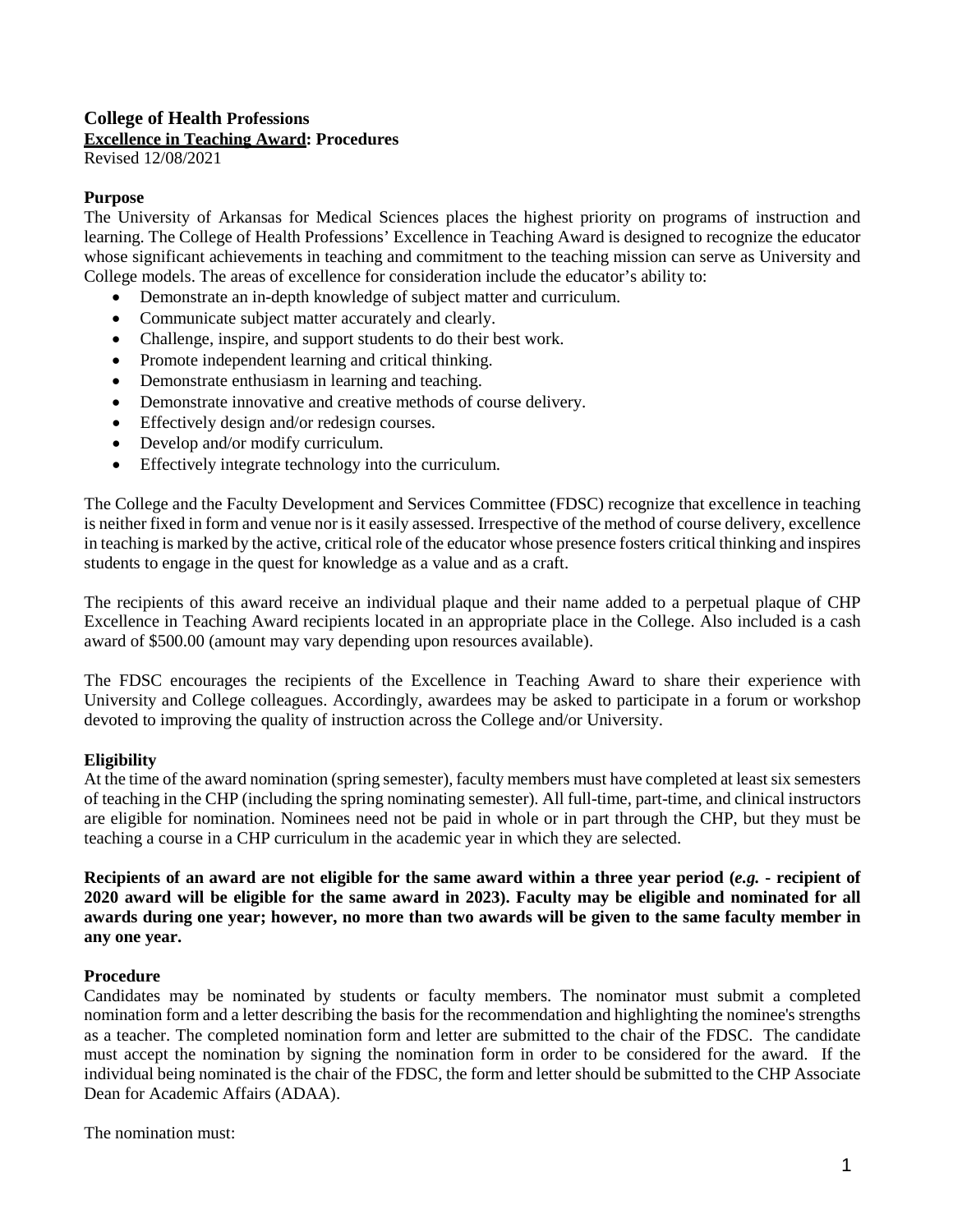# **College of Health Professions Excellence in Teaching Award: Procedures**

Revised 12/08/2021

## **Purpose**

The University of Arkansas for Medical Sciences places the highest priority on programs of instruction and learning. The College of Health Professions' Excellence in Teaching Award is designed to recognize the educator whose significant achievements in teaching and commitment to the teaching mission can serve as University and College models. The areas of excellence for consideration include the educator's ability to:

- Demonstrate an in-depth knowledge of subject matter and curriculum.
- Communicate subject matter accurately and clearly.
- Challenge, inspire, and support students to do their best work.
- Promote independent learning and critical thinking.
- Demonstrate enthusiasm in learning and teaching.
- Demonstrate innovative and creative methods of course delivery.
- Effectively design and/or redesign courses.
- Develop and/or modify curriculum.
- Effectively integrate technology into the curriculum.

The College and the Faculty Development and Services Committee (FDSC) recognize that excellence in teaching is neither fixed in form and venue nor is it easily assessed. Irrespective of the method of course delivery, excellence in teaching is marked by the active, critical role of the educator whose presence fosters critical thinking and inspires students to engage in the quest for knowledge as a value and as a craft.

The recipients of this award receive an individual plaque and their name added to a perpetual plaque of CHP Excellence in Teaching Award recipients located in an appropriate place in the College. Also included is a cash award of \$500.00 (amount may vary depending upon resources available).

The FDSC encourages the recipients of the Excellence in Teaching Award to share their experience with University and College colleagues. Accordingly, awardees may be asked to participate in a forum or workshop devoted to improving the quality of instruction across the College and/or University.

#### **Eligibility**

At the time of the award nomination (spring semester), faculty members must have completed at least six semesters of teaching in the CHP (including the spring nominating semester). All full-time, part-time, and clinical instructors are eligible for nomination. Nominees need not be paid in whole or in part through the CHP, but they must be teaching a course in a CHP curriculum in the academic year in which they are selected.

**Recipients of an award are not eligible for the same award within a three year period (***e.g.* **- recipient of 2020 award will be eligible for the same award in 2023). Faculty may be eligible and nominated for all awards during one year; however, no more than two awards will be given to the same faculty member in any one year.**

#### **Procedure**

Candidates may be nominated by students or faculty members. The nominator must submit a completed nomination form and a letter describing the basis for the recommendation and highlighting the nominee's strengths as a teacher. The completed nomination form and letter are submitted to the chair of the FDSC. The candidate must accept the nomination by signing the nomination form in order to be considered for the award. If the individual being nominated is the chair of the FDSC, the form and letter should be submitted to the CHP Associate Dean for Academic Affairs (ADAA).

The nomination must: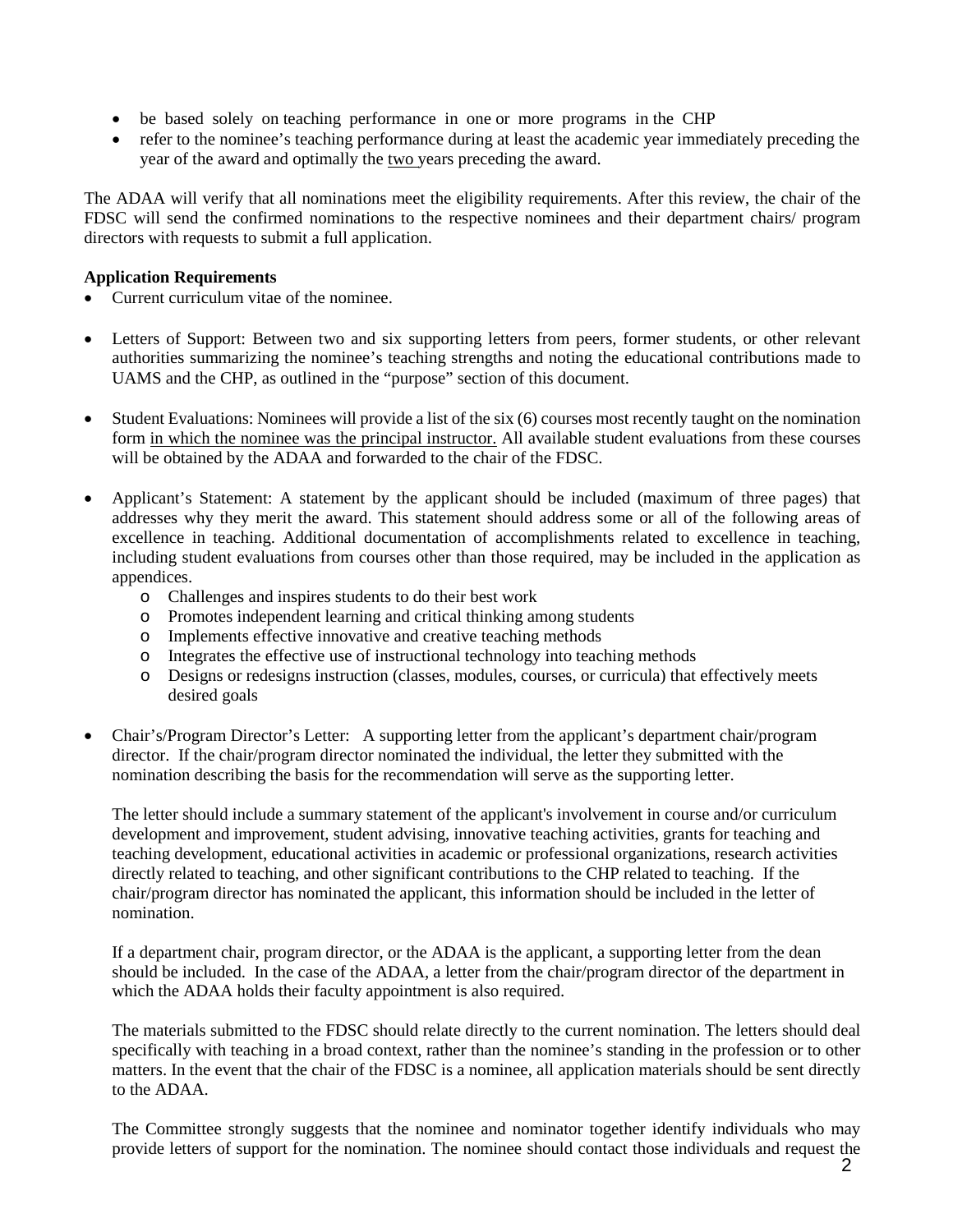- be based solely on teaching performance in one or more programs in the CHP
- refer to the nominee's teaching performance during at least the academic year immediately preceding the year of the award and optimally the two years preceding the award.

The ADAA will verify that all nominations meet the eligibility requirements. After this review, the chair of the FDSC will send the confirmed nominations to the respective nominees and their department chairs/ program directors with requests to submit a full application.

## **Application Requirements**

- Current curriculum vitae of the nominee.
- Letters of Support: Between two and six supporting letters from peers, former students, or other relevant authorities summarizing the nominee's teaching strengths and noting the educational contributions made to UAMS and the CHP, as outlined in the "purpose" section of this document.
- Student Evaluations: Nominees will provide a list of the six (6) courses most recently taught on the nomination form in which the nominee was the principal instructor. All available student evaluations from these courses will be obtained by the ADAA and forwarded to the chair of the FDSC.
- Applicant's Statement: A statement by the applicant should be included (maximum of three pages) that addresses why they merit the award. This statement should address some or all of the following areas of excellence in teaching. Additional documentation of accomplishments related to excellence in teaching, including student evaluations from courses other than those required, may be included in the application as appendices.
	- o Challenges and inspires students to do their best work
	- o Promotes independent learning and critical thinking among students
	- o Implements effective innovative and creative teaching methods
	- o Integrates the effective use of instructional technology into teaching methods
	- o Designs or redesigns instruction (classes, modules, courses, or curricula) that effectively meets desired goals
- Chair's/Program Director's Letter:A supporting letter from the applicant's department chair/program director. If the chair/program director nominated the individual, the letter they submitted with the nomination describing the basis for the recommendation will serve as the supporting letter.

The letter should include a summary statement of the applicant's involvement in course and/or curriculum development and improvement, student advising, innovative teaching activities, grants for teaching and teaching development, educational activities in academic or professional organizations, research activities directly related to teaching, and other significant contributions to the CHP related to teaching. If the chair/program director has nominated the applicant, this information should be included in the letter of nomination.

If a department chair, program director, or the ADAA is the applicant, a supporting letter from the dean should be included. In the case of the ADAA, a letter from the chair/program director of the department in which the ADAA holds their faculty appointment is also required.

The materials submitted to the FDSC should relate directly to the current nomination. The letters should deal specifically with teaching in a broad context, rather than the nominee's standing in the profession or to other matters. In the event that the chair of the FDSC is a nominee, all application materials should be sent directly to the ADAA.

The Committee strongly suggests that the nominee and nominator together identify individuals who may provide letters of support for the nomination. The nominee should contact those individuals and request the